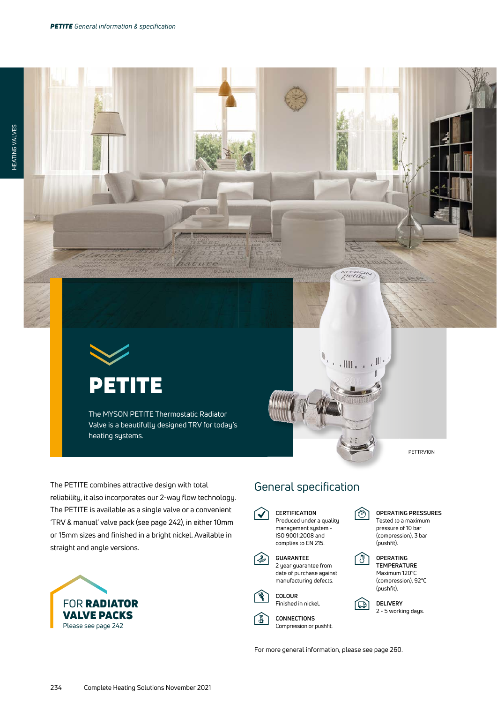

The MYSON PETITE Thermostatic Radiator Valve is a beautifully designed TRV for today's heating systems.

The PETITE combines attractive design with total reliability, it also incorporates our 2-way flow technology. The PETITE is available as a single valve or a convenient 'TRV & manual' valve pack (see page 242), in either 10mm or 15mm sizes and finished in a bright nickel. Available in straight and angle versions.



## General specification

**CERTIFICATION** W Produced under a quality management system - ISO 9001:2008 and complies to EN 215. **GUARANTEE**  $\left( \frac{2}{\epsilon^2} \right)$ 2 year guarantee from date of purchase against manufacturing defects. **COLOUR** Finished in nickel.

3

**CONNECTIONS** Compression or pushfit. তি **OPERATING PRESSURES** Tested to a maximum pressure of 10 bar (compression), 3 bar

petite

Ш



向



PETTRV10N



For more general information, please see page 260.